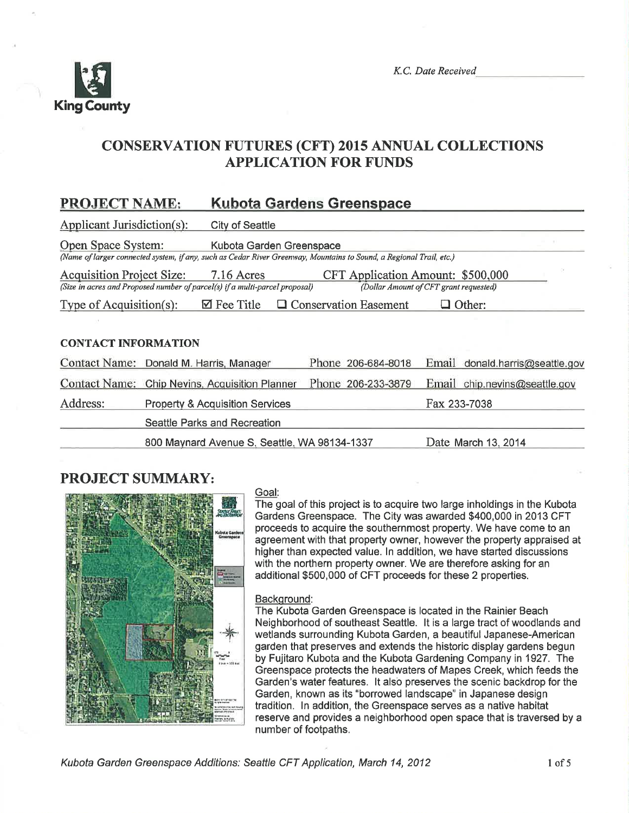

K.C. Date Received

# CONSERVATION FUTURES (CFT) 2015 ANNUAL COLLECTIONS **APPLICATION FOR FUNDS**

## PROJECT NAME: Kubota Gardens Greenspace

| Applicant Jurisdiction(s):                                                                                                                                                                                   | <b>City of Seattle</b>                                                                                                                          |  |  |                    |              |                                 |  |
|--------------------------------------------------------------------------------------------------------------------------------------------------------------------------------------------------------------|-------------------------------------------------------------------------------------------------------------------------------------------------|--|--|--------------------|--------------|---------------------------------|--|
| Open Space System:                                                                                                                                                                                           | Kubota Garden Greenspace<br>(Name of larger connected system, if any, such as Cedar River Greenway, Mountains to Sound, a Regional Trail, etc.) |  |  |                    |              |                                 |  |
| <b>Acquisition Project Size:</b><br>7.16 Acres<br>CFT Application Amount: \$500,000<br>(Size in acres and Proposed number of parcel(s) if a multi-parcel proposal)<br>(Dollar Amount of CFT grant requested) |                                                                                                                                                 |  |  |                    |              |                                 |  |
| $\mathbf{\nabla}$ Fee Title<br>Type of Acquisition(s):<br>$\Box$ Other:<br><b>Conservation Easement</b><br>ப                                                                                                 |                                                                                                                                                 |  |  |                    |              |                                 |  |
|                                                                                                                                                                                                              |                                                                                                                                                 |  |  |                    |              |                                 |  |
| <b>CONTACT INFORMATION</b>                                                                                                                                                                                   |                                                                                                                                                 |  |  |                    |              |                                 |  |
|                                                                                                                                                                                                              | Contact Name: Donald M. Harris, Manager                                                                                                         |  |  | Phone 206-684-8018 |              | Email donald.harris@seattle.gov |  |
| <b>Contact Name:</b>                                                                                                                                                                                         | Chip Nevins, Acquisition Planner                                                                                                                |  |  | Phone 206-233-3879 |              | Email chip.nevins@seattle.gov   |  |
| Address:                                                                                                                                                                                                     | <b>Property &amp; Acquisition Services</b>                                                                                                      |  |  |                    | Fax 233-7038 |                                 |  |
|                                                                                                                                                                                                              | Seattle Parks and Recreation                                                                                                                    |  |  |                    |              |                                 |  |
|                                                                                                                                                                                                              | 800 Maynard Avenue S, Seattle, WA 98134-1337                                                                                                    |  |  |                    |              | Date March 13, 2014             |  |

### PROJECT SUMMARY:



### Goal:

The goal of this project is to acquire two large inholdings in the Kubota Gardens Greenspace. The City was awarded \$400,000 in 2013 CFT proceeds to acquire the southernmost property, We have come to an agreement with that property owner, however the property appraised at higher than expected value. ln addition, we have started discussions with the northern property owner. We are therefore asking for an additional \$500,000 of CFT proceeds for these 2 properties.

#### Backqround:

The Kubota Garden Greenspace is located in the Rainier Beach Neighborhood of southeast Seattle. lt is a large tract of woodlands and wetlands surrounding Kubota Garden, a beautiful Japanese-American garden that preserves and extends the historic display gardens begun by Fujitaro Kubota and the Kubota Gardening Company in 1927. The Greenspace protects the headwaters of Mapes Creek, which feeds the Garden's water features. It also preserves the scenic backdrop for the Garden, known as its "borrowed landscape" in Japanese design tradition. ln addition, the Greenspace serves as a native habitat reserve and provides a neighborhood open space that is traversed by a number of footpaths.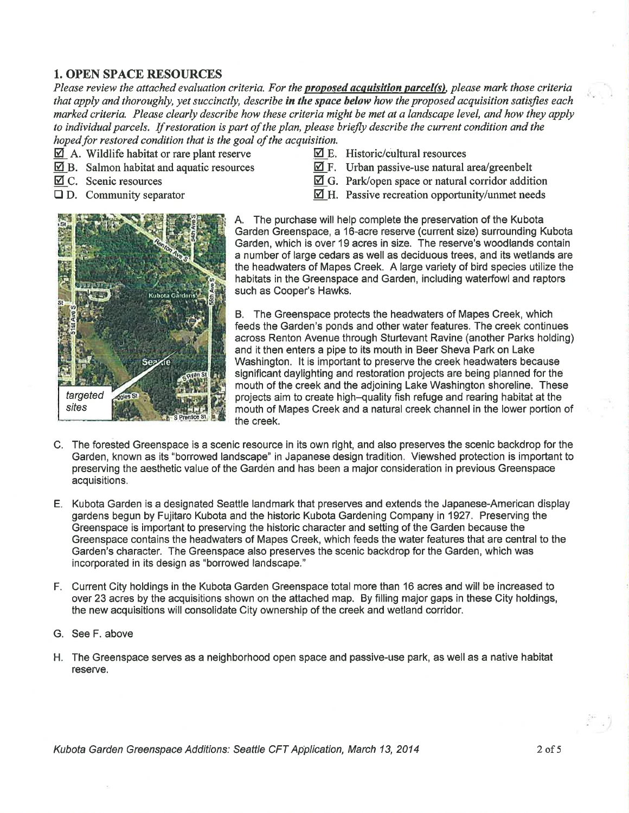#### 1. OPEN SPACE RESOURCES

Please review the attached evaluation criteria. For the **proposed acquisition parcel(s)**, please mark those criteria that apply and thoroughly, yet succinctly, describe in the space below how the proposed acquisition satisfies each marked criteria. Please clearly describe how these criteria might be met at a landscape level, and how they apply to individual parcels. If restoration is part of the plan, please briefly describe the current condition and the hoped for restored condition that is the goal of the acquisition.<br> $\Box$  A. Wildlife habitat or rare plant reserve  $\Box$  E. Historic/cultural resources

- $\overline{2}$  A. Wildlife habitat or rare plant reserve<br>  $\overline{2}$  E. Historic/cultural resources<br>  $\overline{4}$  F. Urban passive-use natural area/greenbelt
- $\overline{2}$ B. Salmon habitat and aquatic resources  $\overline{2}$ C. Scenic resources
- 
- 
- 
- 
- $\overline{\mathfrak{A}}$  C. Scenic resources  $\overline{\mathfrak{A}}$  G. Park/open space or natural corridor addition <br>  $\overline{\mathfrak{A}}$  H. Passive recreation opportunity/unmet needs
	- $\boxtimes$  H. Passive recreation opportunity/unmet needs



A, The purchase will help complete the preservation of the Kubota Garden Greenspace, a l6-acre reserve (current size) surrounding Kubota Garden, which is over 19 acres in size. The reserve's woodlands contain a number of large cedars as well as decíduous trees, and its wetlands are the headwaters of Mapes Creek. A large variety of bird species utilize the habitats in the Greenspace and Garden, including waterfowland raptors such as Gooper's Hawks.

B. The Greenspace protects the headwaters of Mapes Creek, which feeds the Garden's ponds and other water features. The creek continues across Renton Avenue through Sturtevant Ravine (another Parks holding) and it then enters a pipe to its mouth in Beer Sheva Park on Lake Washington. lt is important to preserve the creek headwaters because significant daylighting and restoration projects are being planned for the mouth of the creek and the adjoining Lake Washington shoreline. These projects aim to create high-quality fish refuge and rearing habitat at the mouth of Mapes Creek and a natural creek channel in the lower portíon of the creek.

- C. The forested Greenspace is a scenic resource in its own right, and also preserves the scenic backdrop for the Garden, known as its "borrowed landscape" in Japanese design tradition. Viewshed protection is important to preserving the aesthetic value of the Gardén and has been a major consideration in previous Greenspace acquisitions.
- E. Kubota Garden is a designated Seattle landmark that preserves and extends the Japanese-American display gardens begun by Fujitaro Kubota and the historic Kubota Gardening Company in 1927. Preserving the Greenspace is important to preserving the historic character and setting of the Garden because the Greenspace contains the headwaters of Mapes Creek, which feeds the water features that are central to the Garden's character. The Greenspace also preserves the scenic backdrop for the Garden, which was incorporated in its design as "borrowed landscape."
- F. Current City holdings in the Kubota Garden Greenspace total more than 16 acres and will be increased to over 23 acres by the acquisitions shown on the attached map. By filling major gaps in these City holdings, the new acquisitions will consolidate City ownership of the creek and wetland corridor.
- G. See F. above
- H. The Greenspace serves as a neighborhood open space and passive-use park, as well as a native habitat reserve.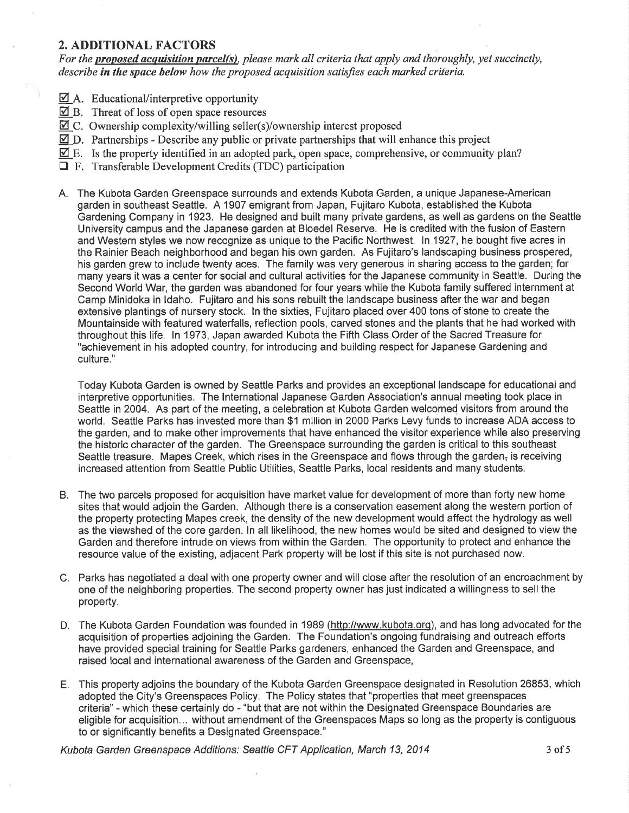#### 2. ADDITIONAL FACTORS

For the proposed acquisition parcel(s), please mark all criteria that apply and thoroughly, yet succinctly, describe in the space below how the proposed acquisition satisfies each marked criteria.

- $\overline{\mathcal{Q}}$  A. Educational/interpretive opportunity
- $\overline{Q}$  B. Threat of loss of open space resources
- $\boxtimes$  C. Ownership complexity/willing seller(s)/ownership interest proposed
- $\boxtimes$  D. Partnerships Describe any public or private partnerships that will enhance this project
- $\mathbf{\mathbb{Z}}$  E. Is the property identified in an adopted park, open space, comprehensive, or community plan?
- $\Box$  F. Transferable Development Credits (TDC) participation
- A. The Kubota Garden Greenspace surrounds and extends Kubota Garden, a unique Japanese-American garden in southeast Seattle. A 1907 emigrant from Japan, Fujitaro Kubota, established the Kubota Gardening Company in 1923. He designed and built many private gardens, as wellas gardens on the Seattle University campus and the Japanese garden at Bloedel Reserve. He is credited with the fusion of Eastern and Western styles we now recognize as unique to the Pacific Northwest. ln 1927, he bought five acres in the Rainier Beach neighborhood and began his own garden. As Fujitaro's landscaping business prospered, his garden grew to include twenty aces. The family was very generous in sharing access to the garden; for many years it was a center for social and cultural activities for the Japanese community in Seattle. During the Second World War, the garden was abandoned for four years while the Kubota family suffered internment at Camp Minidoka in ldaho. Fujitaro and his sons rebuilt the landscape business after the war and began extensive plantings of nursery stock. ln the sixties, Fujitaro placed over 400 tons of stone to create the Mountainside with featured waterfalls, reflection pools, carved stones and the plants that he had worked with throughout this life. ln 1973, Japan awarded Kubota the Fifth Class Order of the Sacred Treasure for "achievement in his adopted country, for introducing and building respect for Japanese Gardening and culture."

Today Kubota Garden is owned by Seattle Parks and provides an exceptional landscape for educational and interpretive opportunities. The lnternational Japanese Garden Association's annual meeting took place in Seattle in 2004. As part of the meeting, a celebration at Kubota Garden welcomed visitors from around the world. Seattle Parks has invested more than \$1 million in 2000 Parks Levy funds to increase ADA access to the garden, and to make other improvements that have enhanced the visitor experience while also preserving the historic character of the garden. The Greenspace surrounding the garden is critical to this southeast Seattle treasure. Mapes Creek, which rises in the Greenspace and flows through the garden<sub> $\bar{t}$ </sub> is receiving increased attention from Seattle Public Utilities, Seattle Parks, local residents and many students.

- B. The two parcels proposed for acquisition have market value for development of more than forty new home sites that would adjoin the Garden. Although there is a conservation easement along the western portion of the property protecting Mapes creek, the density of the new development would affect the hydrology as well as the viewshed of the core garden. ln all likelihood, the new homes would be sited and designed to view the Garden and therefore intrude on views from within the Garden. The opportunity to protect and enhance the resource value of the existing, adjacent Park property will be lost if this site is not purchased now.
- C. Parks has negotiated a deal with one property owner and will close after the resolution of an encroachment by one of the neighboring properties. The second property owner has just indicated a willingness to sell the property.
- D. The Kubota Garden Foundation was founded in 1989 (http://www.kubota.org), and has long advocated for the acquisition of properties adjoining the Garden. The Foundation's ongoing fundraising and outreach efforts have provided special training for Seattle Parks gardeners, enhanced the Garden and Greenspace, and raised local and international awareness of the Garden and Greenspace,
- E. This property adjoins the boundary of the Kubota Garden Greenspace designated in Resolution 26853, which adopted the City's Greenspaces Policy. The Policy states that "properties that meet greenspaces criteria" - which these certainly do - "but that are not within the Designated Greenspace Boundaries are eligible for acquisition... without amendment of the Greenspaces Maps so long as the property is contiguous to or significantly benefits a Designated Greenspace."

Kubota Garden Greenspace Additions: Seattle CFT Application, March 13, 2014 3 3 3 3 3 3 3 3 3 3 4 5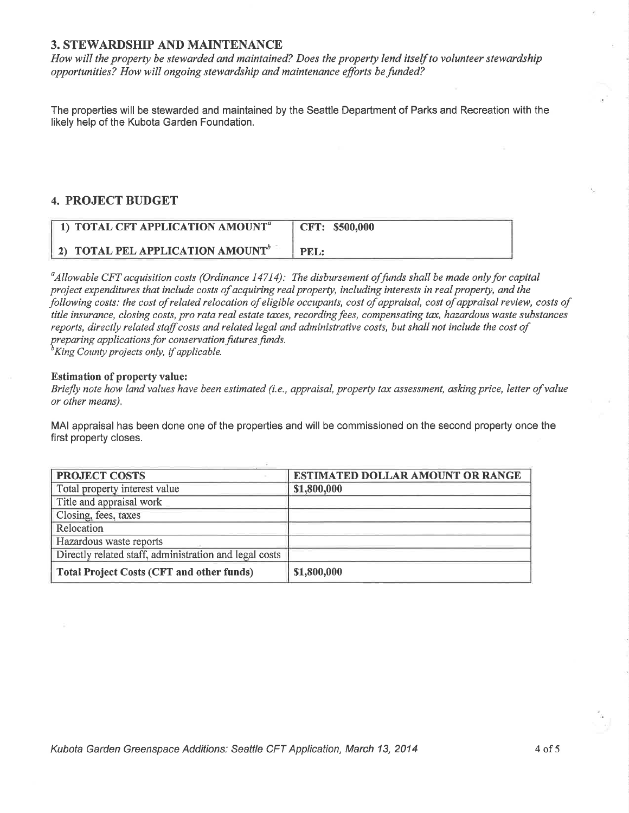#### 3. STEWARDSHIP AND MAINTENANCE

How will the property be stewarded and maintained? Does the property lend itself to volunteer stewardship opportunities? How will ongoing stewardship and maintenance efforts be funded?

The properties will be stewarded and maintained by the Seattle Department of Parks and Recreation with the likely help of the Kubota Garden Foundation.

#### 4. PROJECT BUDGET

| 1) TOTAL CFT APPLICATION AMOUNT <sup><math>a</math></sup> | CFT: \$500,000 |
|-----------------------------------------------------------|----------------|
| 2) TOTAL PEL APPLICATION AMOUNT <sup>b</sup>              | PEL:           |

 $^a$ Allowable CFT acquisition costs (Ordinance 14714): The disbursement of funds shall be made only for capital project expenditures that include costs of acquiring real property, including interests in real property, and the þllowing costs: the cost of related relocation of eligible occupants, cost of appraisal, cost of appraisal review, costs of title insurance, closing costs, pro rata real estate taxes, recording fees, compensating tax, hazardous waste substances reports, directly related staff costs and related legal and administrative costs, but shall not include the cost of preparing applications for conservation futures funds.<br> ${}^{b}$ King County projects only, if applicable.

#### Estimation of property value:

Briefly note how land values have been estimated (i.e., appraisal, property tax assessment, asking price, letter of value or other means).

MAI appraisal has been done one of the properties and will be commissioned on the second property once the first property closes.

| <b>PROJECT COSTS</b>                                   | <b>ESTIMATED DOLLAR AMOUNT OR RANGE</b> |
|--------------------------------------------------------|-----------------------------------------|
| Total property interest value                          | \$1,800,000                             |
| Title and appraisal work                               |                                         |
| Closing, fees, taxes                                   |                                         |
| Relocation                                             |                                         |
| Hazardous waste reports                                |                                         |
| Directly related staff, administration and legal costs |                                         |
| <b>Total Project Costs (CFT and other funds)</b>       | \$1,800,000                             |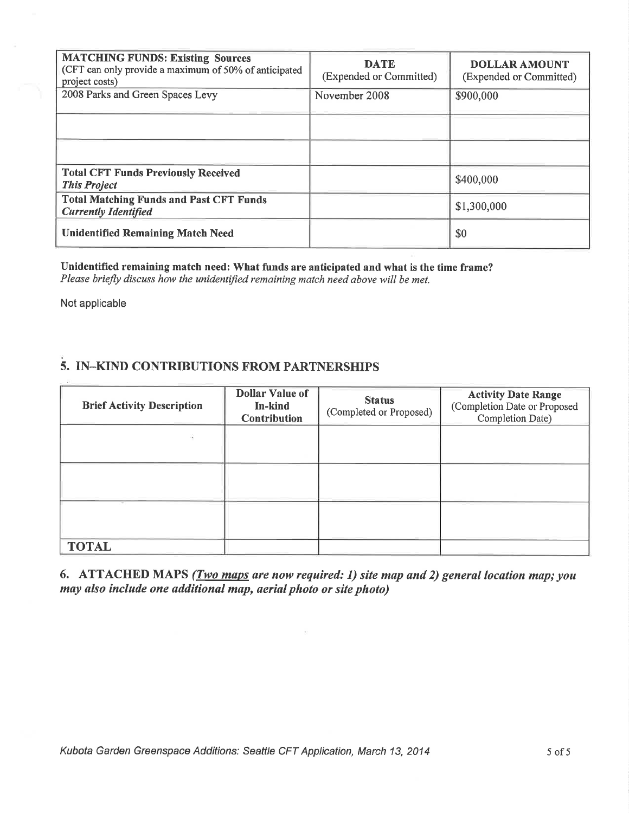| <b>MATCHING FUNDS: Existing Sources</b><br>(CFT can only provide a maximum of 50% of anticipated<br>project costs) | <b>DATE</b><br>(Expended or Committed) | <b>DOLLAR AMOUNT</b><br>(Expended or Committed) |
|--------------------------------------------------------------------------------------------------------------------|----------------------------------------|-------------------------------------------------|
| 2008 Parks and Green Spaces Levy                                                                                   | November 2008                          | \$900,000                                       |
|                                                                                                                    |                                        |                                                 |
|                                                                                                                    |                                        |                                                 |
| <b>Total CFT Funds Previously Received</b><br><b>This Project</b>                                                  |                                        | \$400,000                                       |
| <b>Total Matching Funds and Past CFT Funds</b><br><b>Currently Identified</b>                                      |                                        | \$1,300,000                                     |
| <b>Unidentified Remaining Match Need</b>                                                                           |                                        | \$0                                             |

Unidentified remaining match need: What funds are anticipated and what is the time frame? Please briefly discuss how the unidentified remaining match need above will be met.

Not applicable

### 5. IN-KIND CONTRIBUTIONS FROM PARTNERSHIPS

| <b>Brief Activity Description</b> | <b>Dollar Value of</b><br>In-kind<br><b>Contribution</b> | <b>Status</b><br>(Completed or Proposed) | <b>Activity Date Range</b><br>(Completion Date or Proposed<br>Completion Date) |
|-----------------------------------|----------------------------------------------------------|------------------------------------------|--------------------------------------------------------------------------------|
|                                   |                                                          |                                          |                                                                                |
|                                   |                                                          |                                          |                                                                                |
| $\sim$                            |                                                          |                                          |                                                                                |
| <b>TOTAL</b>                      |                                                          |                                          |                                                                                |

6. ATTACHED MAPS (*Two maps are now required: 1) site map and 2) general location map; you* may also include one additional map, aerial photo or site photo)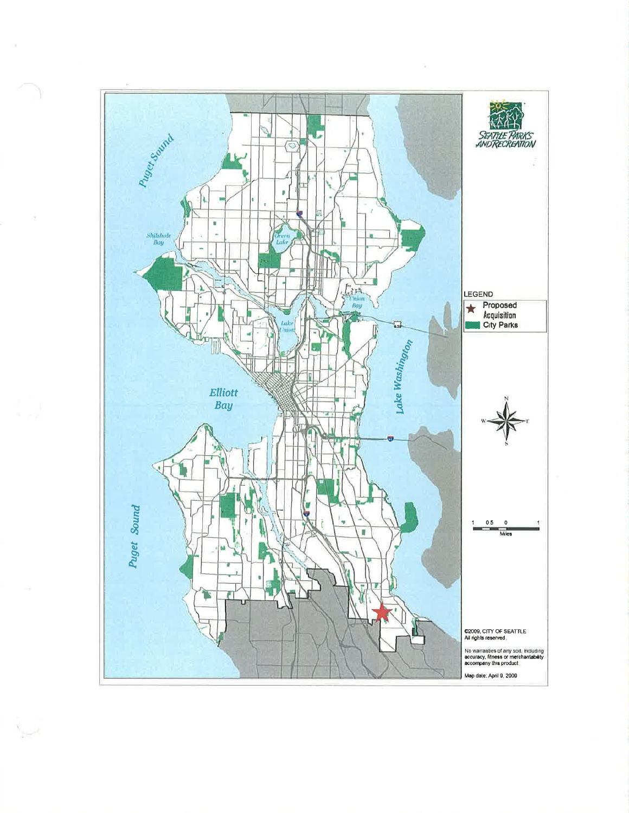

 $\sum_{\alpha\in\mathbb{Z}}\alpha^{\alpha}$